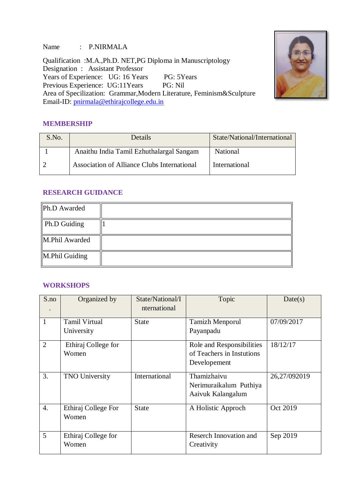Name : P.NIRMALA

Qualification :M.A.,Ph.D. NET,PG Diploma in Manuscriptology Designation : Assistant Professor Years of Experience: UG: 16 Years PG: 5Years Previous Experience: UG:11Years PG: Nil Area of Specilization: Grammar,Modern Literature, Feminism&Sculpture Email-ID: [pnirmala@ethirajcollege.edu.in](mailto:pnirmala@ethirajcollege.edu.in)



### **MEMBERSHIP**

| S.No. | Details                                     | State/National/International |
|-------|---------------------------------------------|------------------------------|
|       | Anaithu India Tamil Ezhuthalargal Sangam    | National                     |
|       | Association of Alliance Clubs International | International                |

## **RESEARCH GUIDANCE**

| Ph.D Awarded   |  |
|----------------|--|
| Ph.D Guiding   |  |
| M.Phil Awarded |  |
| M.Phil Guiding |  |

### **WORKSHOPS**

| S.no             | Organized by                       | State/National/I<br>nternational | Topic                                                                  | Date(s)      |
|------------------|------------------------------------|----------------------------------|------------------------------------------------------------------------|--------------|
| $\mathbf{1}$     | <b>Tamil Virtual</b><br>University | <b>State</b>                     | <b>Tamizh Menporul</b><br>Payanpadu                                    | 07/09/2017   |
| $\overline{2}$   | Ethiraj College for<br>Women       |                                  | Role and Responsibilities<br>of Teachers in Instutions<br>Developement | 18/12/17     |
| 3.               | <b>TNO University</b>              | International                    | Thamizhaivu<br>Nerimuraikalum Puthiya<br>Aaivuk Kalangalum             | 26,27/092019 |
| $\overline{4}$ . | Ethiraj College For<br>Women       | <b>State</b>                     | A Holistic Approch                                                     | Oct 2019     |
| 5                | Ethiraj College for<br>Women       |                                  | Reserch Innovation and<br>Creativity                                   | Sep 2019     |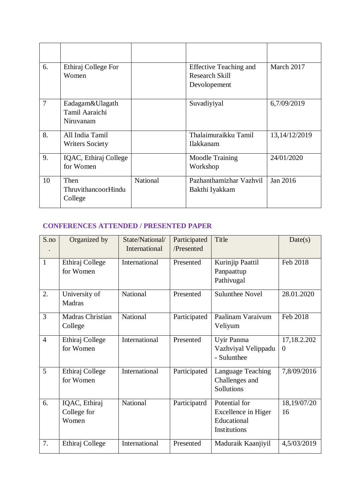| 6.             | Ethiraj College For<br>Women                   |          | <b>Effective Teaching and</b><br><b>Research Skill</b><br>Devolopement | March 2017    |
|----------------|------------------------------------------------|----------|------------------------------------------------------------------------|---------------|
| $\overline{7}$ | Eadagam&Ulagath<br>Tamil Aaraichi<br>Niruvanam |          | Suvadiyiyal                                                            | 6,7/09/2019   |
| 8.             | All India Tamil<br><b>Writers Society</b>      |          | Thalaimuraikku Tamil<br>Ilakkanam                                      | 13,14/12/2019 |
| 9.             | IQAC, Ethiraj College<br>for Women             |          | <b>Moodle Training</b><br>Workshop                                     | 24/01/2020    |
| 10             | Then<br><b>ThruvithancoorHindu</b><br>College  | National | Pazhanthamizhar Vazhvil<br>Bakthi Iyakkam                              | Jan 2016      |

# **CONFERENCES ATTENDED / PRESENTED PAPER**

| S.no           | Organized by     | State/National/ | Participated | Title                  | Date(s)     |
|----------------|------------------|-----------------|--------------|------------------------|-------------|
|                |                  | International   | /Presented   |                        |             |
| $\mathbf{1}$   | Ethiraj College  | International   | Presented    | Kurinjip Paattil       | Feb 2018    |
|                | for Women        |                 |              | Panpaattup             |             |
|                |                  |                 |              | Pathivugal             |             |
| 2.             | University of    | National        | Presented    | <b>Sulunthee Novel</b> | 28.01.2020  |
|                | Madras           |                 |              |                        |             |
| 3              | Madras Christian | National        | Participated | Paalinam Varaivum      | Feb 2018    |
|                | College          |                 |              | Veliyum                |             |
| $\overline{4}$ | Ethiraj College  | International   | Presented    | Uyir Panma             | 17,18.2.202 |
|                | for Women        |                 |              | Vazhviyal Velippadu    | $\Omega$    |
|                |                  |                 |              | - Sulunthee            |             |
| 5              | Ethiraj College  | International   | Participated | Language Teaching      | 7,8/09/2016 |
|                | for Women        |                 |              | Challenges and         |             |
|                |                  |                 |              | Sollutions             |             |
| 6.             | IQAC, Ethiraj    | National        | Participatrd | Potential for          | 18,19/07/20 |
|                | College for      |                 |              | Excellence in Higer    | 16          |
|                | Women            |                 |              | Educational            |             |
|                |                  |                 |              | Institutions           |             |
| 7.             | Ethiraj College  | International   | Presented    | Maduraik Kaanjiyil     | 4,5/03/2019 |